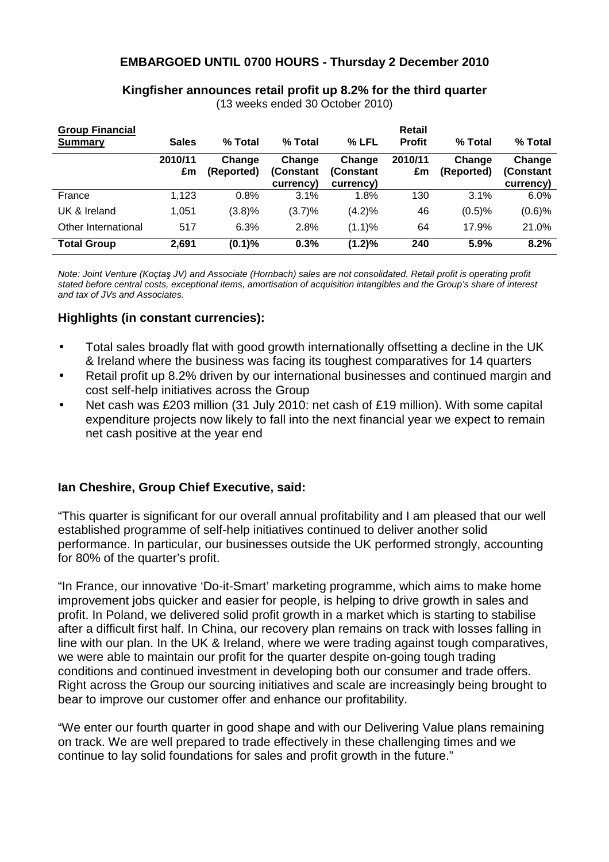# **EMBARGOED UNTIL 0700 HOURS - Thursday 2 December 2010**

### **Kingfisher announces retail profit up 8.2% for the third quarter**

(13 weeks ended 30 October 2010)

| <b>Group Financial</b><br>Summary | <b>Sales</b>  | % Total              | % Total                          | % LFL                            | Retail<br><b>Profit</b> | % Total              | % Total                          |
|-----------------------------------|---------------|----------------------|----------------------------------|----------------------------------|-------------------------|----------------------|----------------------------------|
|                                   | 2010/11<br>£m | Change<br>(Reported) | Change<br>(Constant<br>currency) | Change<br>(Constant<br>currency) | 2010/11<br>£m           | Change<br>(Reported) | Change<br>(Constant<br>currency) |
| France                            | 1.123         | 0.8%                 | 3.1%                             | 1.8%                             | 130                     | 3.1%                 | $6.0\%$                          |
| UK & Ireland                      | 1,051         | (3.8)%               | $(3.7)\%$                        | (4.2)%                           | 46                      | (0.5)%               | $(0.6)$ %                        |
| Other International               | 517           | 6.3%                 | 2.8%                             | (1.1)%                           | 64                      | 17.9%                | 21.0%                            |
| <b>Total Group</b>                | 2,691         | (0.1)%               | 0.3%                             | (1.2)%                           | 240                     | 5.9%                 | 8.2%                             |

Note: Joint Venture (Koçtaş JV) and Associate (Hornbach) sales are not consolidated. Retail profit is operating profit stated before central costs, exceptional items, amortisation of acquisition intangibles and the Group's share of interest and tax of JVs and Associates.

### **Highlights (in constant currencies):**

- Total sales broadly flat with good growth internationally offsetting a decline in the UK & Ireland where the business was facing its toughest comparatives for 14 quarters
- Retail profit up 8.2% driven by our international businesses and continued margin and cost self-help initiatives across the Group
- Net cash was £203 million (31 July 2010: net cash of £19 million). With some capital expenditure projects now likely to fall into the next financial year we expect to remain net cash positive at the year end

## **Ian Cheshire, Group Chief Executive, said:**

"This quarter is significant for our overall annual profitability and I am pleased that our well established programme of self-help initiatives continued to deliver another solid performance. In particular, our businesses outside the UK performed strongly, accounting for 80% of the quarter's profit.

"In France, our innovative 'Do-it-Smart' marketing programme, which aims to make home improvement jobs quicker and easier for people, is helping to drive growth in sales and profit. In Poland, we delivered solid profit growth in a market which is starting to stabilise after a difficult first half. In China, our recovery plan remains on track with losses falling in line with our plan. In the UK & Ireland, where we were trading against tough comparatives, we were able to maintain our profit for the quarter despite on-going tough trading conditions and continued investment in developing both our consumer and trade offers. Right across the Group our sourcing initiatives and scale are increasingly being brought to bear to improve our customer offer and enhance our profitability.

"We enter our fourth quarter in good shape and with our Delivering Value plans remaining on track. We are well prepared to trade effectively in these challenging times and we continue to lay solid foundations for sales and profit growth in the future."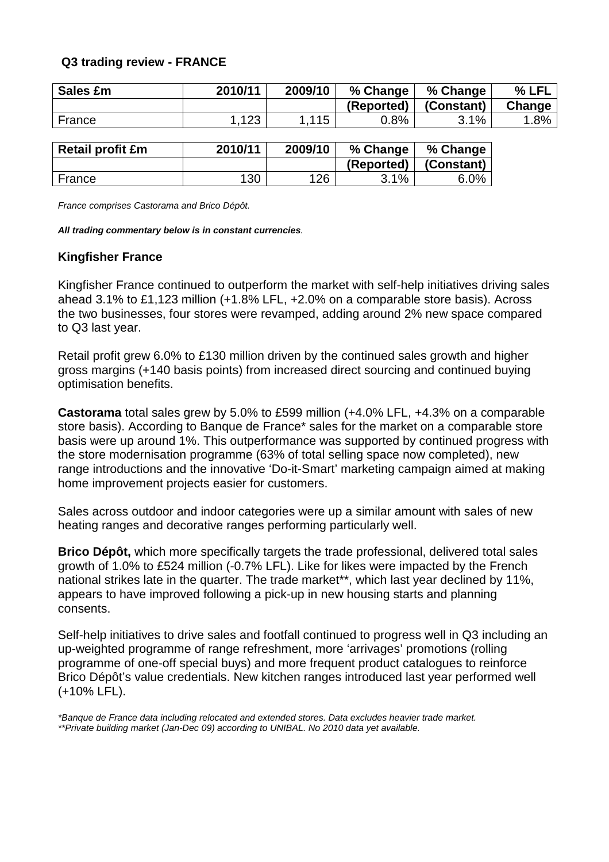## **Q3 trading review - FRANCE**

| <b>Sales £m</b> | 2010/11 | 2009/10 | % Change   | % Change   | % LFL  |
|-----------------|---------|---------|------------|------------|--------|
|                 |         |         | (Reported) | (Constant) | Change |
| France          | 123     | .115    | $0.8\%$    | 3.1%       | $.8\%$ |

| <b>Retail profit £m</b> | 2010/11 | 2009/10 | % Change   | % Change   |
|-------------------------|---------|---------|------------|------------|
|                         |         |         | (Reported) | (Constant) |
| France                  | 130     | 126     | 3.1%       | 6.0%       |

France comprises Castorama and Brico Dépôt.

**All trading commentary below is in constant currencies**.

### **Kingfisher France**

Kingfisher France continued to outperform the market with self-help initiatives driving sales ahead 3.1% to £1,123 million (+1.8% LFL, +2.0% on a comparable store basis). Across the two businesses, four stores were revamped, adding around 2% new space compared to Q3 last year.

Retail profit grew 6.0% to £130 million driven by the continued sales growth and higher gross margins (+140 basis points) from increased direct sourcing and continued buying optimisation benefits.

**Castorama** total sales grew by 5.0% to £599 million (+4.0% LFL, +4.3% on a comparable store basis). According to Banque de France\* sales for the market on a comparable store basis were up around 1%. This outperformance was supported by continued progress with the store modernisation programme (63% of total selling space now completed), new range introductions and the innovative 'Do-it-Smart' marketing campaign aimed at making home improvement projects easier for customers.

Sales across outdoor and indoor categories were up a similar amount with sales of new heating ranges and decorative ranges performing particularly well.

**Brico Dépôt,** which more specifically targets the trade professional, delivered total sales growth of 1.0% to £524 million (-0.7% LFL). Like for likes were impacted by the French national strikes late in the quarter. The trade market\*\*, which last year declined by 11%, appears to have improved following a pick-up in new housing starts and planning consents.

Self-help initiatives to drive sales and footfall continued to progress well in Q3 including an up-weighted programme of range refreshment, more 'arrivages' promotions (rolling programme of one-off special buys) and more frequent product catalogues to reinforce Brico Dépôt's value credentials. New kitchen ranges introduced last year performed well (+10% LFL).

\*Banque de France data including relocated and extended stores. Data excludes heavier trade market. \*\*Private building market (Jan-Dec 09) according to UNIBAL. No 2010 data yet available.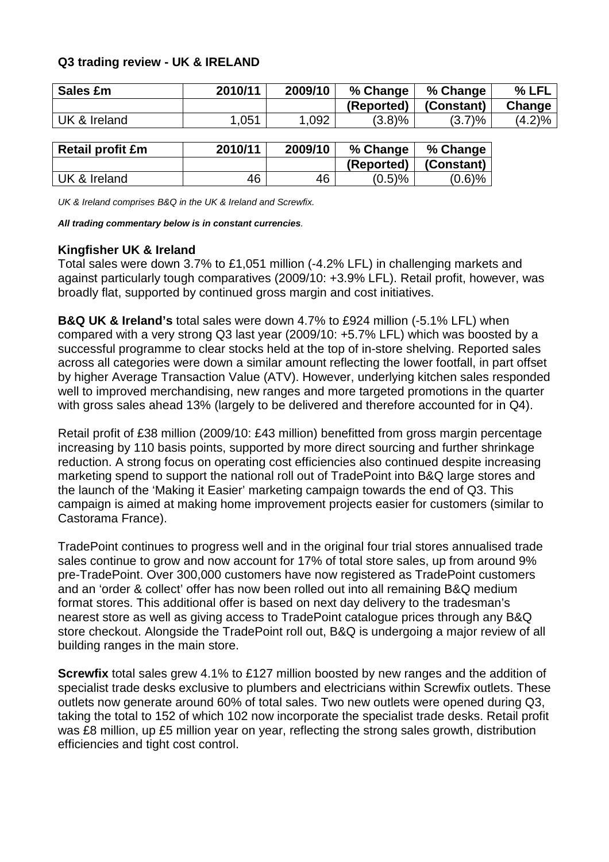## **Q3 trading review - UK & IRELAND**

| Sales £m     | 2010/11 | 2009/10 | % Change   | % Change   | % LFL  |
|--------------|---------|---------|------------|------------|--------|
|              |         |         | (Reported) | (Constant) | Change |
| UK & Ireland | .051    | .092    | (3.8)%     | $(3.7)\%$  | (4.2)% |

| <b>Retail profit £m</b> | 2010/11 | 2009/10 | % Change   | % Change   |
|-------------------------|---------|---------|------------|------------|
|                         |         |         | (Reported) | (Constant) |
| UK & Ireland            | 46      | 46      | $(0.5)$ %  | $(0.6)$ %  |

UK & Ireland comprises B&Q in the UK & Ireland and Screwfix.

**All trading commentary below is in constant currencies**.

### **Kingfisher UK & Ireland**

Total sales were down 3.7% to £1,051 million (-4.2% LFL) in challenging markets and against particularly tough comparatives (2009/10: +3.9% LFL). Retail profit, however, was broadly flat, supported by continued gross margin and cost initiatives.

**B&Q UK & Ireland's** total sales were down 4.7% to £924 million (-5.1% LFL) when compared with a very strong Q3 last year (2009/10: +5.7% LFL) which was boosted by a successful programme to clear stocks held at the top of in-store shelving. Reported sales across all categories were down a similar amount reflecting the lower footfall, in part offset by higher Average Transaction Value (ATV). However, underlying kitchen sales responded well to improved merchandising, new ranges and more targeted promotions in the quarter with gross sales ahead 13% (largely to be delivered and therefore accounted for in Q4).

Retail profit of £38 million (2009/10: £43 million) benefitted from gross margin percentage increasing by 110 basis points, supported by more direct sourcing and further shrinkage reduction. A strong focus on operating cost efficiencies also continued despite increasing marketing spend to support the national roll out of TradePoint into B&Q large stores and the launch of the 'Making it Easier' marketing campaign towards the end of Q3. This campaign is aimed at making home improvement projects easier for customers (similar to Castorama France).

TradePoint continues to progress well and in the original four trial stores annualised trade sales continue to grow and now account for 17% of total store sales, up from around 9% pre-TradePoint. Over 300,000 customers have now registered as TradePoint customers and an 'order & collect' offer has now been rolled out into all remaining B&Q medium format stores. This additional offer is based on next day delivery to the tradesman's nearest store as well as giving access to TradePoint catalogue prices through any B&Q store checkout. Alongside the TradePoint roll out, B&Q is undergoing a major review of all building ranges in the main store.

**Screwfix** total sales grew 4.1% to £127 million boosted by new ranges and the addition of specialist trade desks exclusive to plumbers and electricians within Screwfix outlets. These outlets now generate around 60% of total sales. Two new outlets were opened during Q3, taking the total to 152 of which 102 now incorporate the specialist trade desks. Retail profit was £8 million, up £5 million year on year, reflecting the strong sales growth, distribution efficiencies and tight cost control.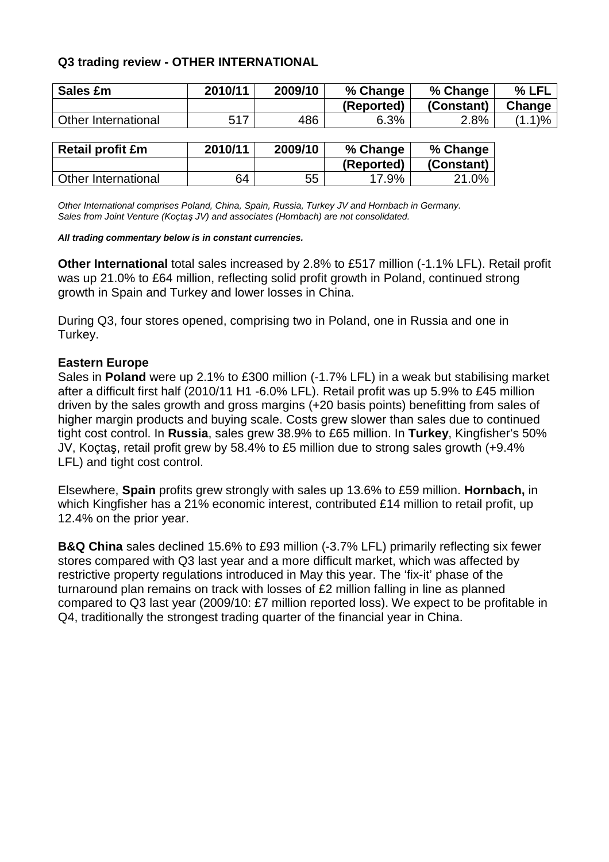# **Q3 trading review - OTHER INTERNATIONAL**

| Sales £m            | 2010/11 | 2009/10 | % Change   | % Change   | % LFL     |
|---------------------|---------|---------|------------|------------|-----------|
|                     |         |         | (Reported) | (Constant) | Change    |
| Other International | 517     | 486     | 6.3%       | 2.8%       | $(1.1)\%$ |
|                     |         |         |            |            |           |

| <b>Retail profit £m</b> | 2010/11 | 2009/10 | % Change   | % Change   |
|-------------------------|---------|---------|------------|------------|
|                         |         |         | (Reported) | (Constant) |
| Other International     | 64      | 55      | 17.9%      | 21.0%      |

Other International comprises Poland, China, Spain, Russia, Turkey JV and Hornbach in Germany. Sales from Joint Venture (Koçtaş JV) and associates (Hornbach) are not consolidated.

#### **All trading commentary below is in constant currencies.**

**Other International** total sales increased by 2.8% to £517 million (-1.1% LFL). Retail profit was up 21.0% to £64 million, reflecting solid profit growth in Poland, continued strong growth in Spain and Turkey and lower losses in China.

During Q3, four stores opened, comprising two in Poland, one in Russia and one in Turkey.

### **Eastern Europe**

Sales in **Poland** were up 2.1% to £300 million (-1.7% LFL) in a weak but stabilising market after a difficult first half (2010/11 H1 -6.0% LFL). Retail profit was up 5.9% to £45 million driven by the sales growth and gross margins (+20 basis points) benefitting from sales of higher margin products and buying scale. Costs grew slower than sales due to continued tight cost control. In **Russia**, sales grew 38.9% to £65 million. In **Turkey**, Kingfisher's 50% JV, Koçtaş, retail profit grew by 58.4% to £5 million due to strong sales growth (+9.4% LFL) and tight cost control.

Elsewhere, **Spain** profits grew strongly with sales up 13.6% to £59 million. **Hornbach,** in which Kingfisher has a 21% economic interest, contributed £14 million to retail profit, up 12.4% on the prior year.

**B&Q China** sales declined 15.6% to £93 million (-3.7% LFL) primarily reflecting six fewer stores compared with Q3 last year and a more difficult market, which was affected by restrictive property regulations introduced in May this year. The 'fix-it' phase of the turnaround plan remains on track with losses of £2 million falling in line as planned compared to Q3 last year (2009/10: £7 million reported loss). We expect to be profitable in Q4, traditionally the strongest trading quarter of the financial year in China.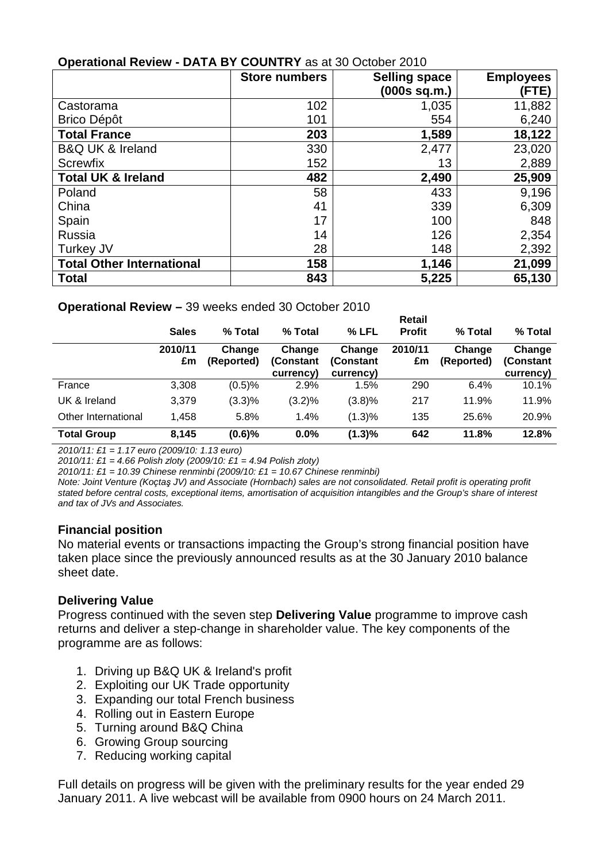| <b>ODGIALIOHAL INGVIGW</b>       | $\sim$ DATA BT VOURTINT as at 50 OCtober 2010 |                      |                  |
|----------------------------------|-----------------------------------------------|----------------------|------------------|
|                                  | <b>Store numbers</b>                          | <b>Selling space</b> | <b>Employees</b> |
|                                  |                                               | (000s sq.m.)         | (FTE)            |
| Castorama                        | 102                                           | 1,035                | 11,882           |
| <b>Brico Dépôt</b>               | 101                                           | 554                  | 6,240            |
| <b>Total France</b>              | 203                                           | 1,589                | 18,122           |
| <b>B&amp;Q UK &amp; Ireland</b>  | 330                                           | 2,477                | 23,020           |
| <b>Screwfix</b>                  | 152                                           | 13                   | 2,889            |
| <b>Total UK &amp; Ireland</b>    | 482                                           | 2,490                | 25,909           |
| Poland                           | 58                                            | 433                  | 9,196            |
| China                            | 41                                            | 339                  | 6,309            |
| Spain                            | 17                                            | 100                  | 848              |
| Russia                           | 14                                            | 126                  | 2,354            |
| Turkey JV                        | 28                                            | 148                  | 2,392            |
| <b>Total Other International</b> | 158                                           | 1,146                | 21,099           |
| <b>Total</b>                     | 843                                           | 5,225                | 65,130           |

# **Operational Review - DATA BY COUNTRY** as at 30 October 2010

## **Operational Review –** 39 weeks ended 30 October 2010

|                     | <b>Sales</b>  | % Total              | % Total                          | % LFL                            | <b>Retail</b><br><b>Profit</b> | % Total              | % Total                          |
|---------------------|---------------|----------------------|----------------------------------|----------------------------------|--------------------------------|----------------------|----------------------------------|
|                     | 2010/11<br>£m | Change<br>(Reported) | Change<br>(Constant<br>currency) | Change<br>(Constant<br>currency) | 2010/11<br>£m                  | Change<br>(Reported) | Change<br>(Constant<br>currency) |
| France              | 3,308         | (0.5)%               | 2.9%                             | 1.5%                             | 290                            | 6.4%                 | 10.1%                            |
| UK & Ireland        | 3,379         | $(3.3)\%$            | (3.2)%                           | (3.8)%                           | 217                            | 11.9%                | 11.9%                            |
| Other International | 1.458         | 5.8%                 | 1.4%                             | (1.3)%                           | 135                            | 25.6%                | 20.9%                            |
| <b>Total Group</b>  | 8,145         | (0.6)%               | 0.0%                             | (1.3)%                           | 642                            | 11.8%                | 12.8%                            |

2010/11: £1 = 1.17 euro (2009/10: 1.13 euro)

2010/11: £1 = 4.66 Polish zloty (2009/10: £1 = 4.94 Polish zloty)

2010/11: £1 = 10.39 Chinese renminbi (2009/10: £1 = 10.67 Chinese renminbi)

Note: Joint Venture (Koçtaş JV) and Associate (Hornbach) sales are not consolidated. Retail profit is operating profit stated before central costs, exceptional items, amortisation of acquisition intangibles and the Group's share of interest and tax of JVs and Associates.

## **Financial position**

No material events or transactions impacting the Group's strong financial position have taken place since the previously announced results as at the 30 January 2010 balance sheet date.

# **Delivering Value**

Progress continued with the seven step **Delivering Value** programme to improve cash returns and deliver a step-change in shareholder value. The key components of the programme are as follows:

- 1. Driving up B&Q UK & Ireland's profit
- 2. Exploiting our UK Trade opportunity
- 3. Expanding our total French business
- 4. Rolling out in Eastern Europe
- 5. Turning around B&Q China
- 6. Growing Group sourcing
- 7. Reducing working capital

Full details on progress will be given with the preliminary results for the year ended 29 January 2011. A live webcast will be available from 0900 hours on 24 March 2011.